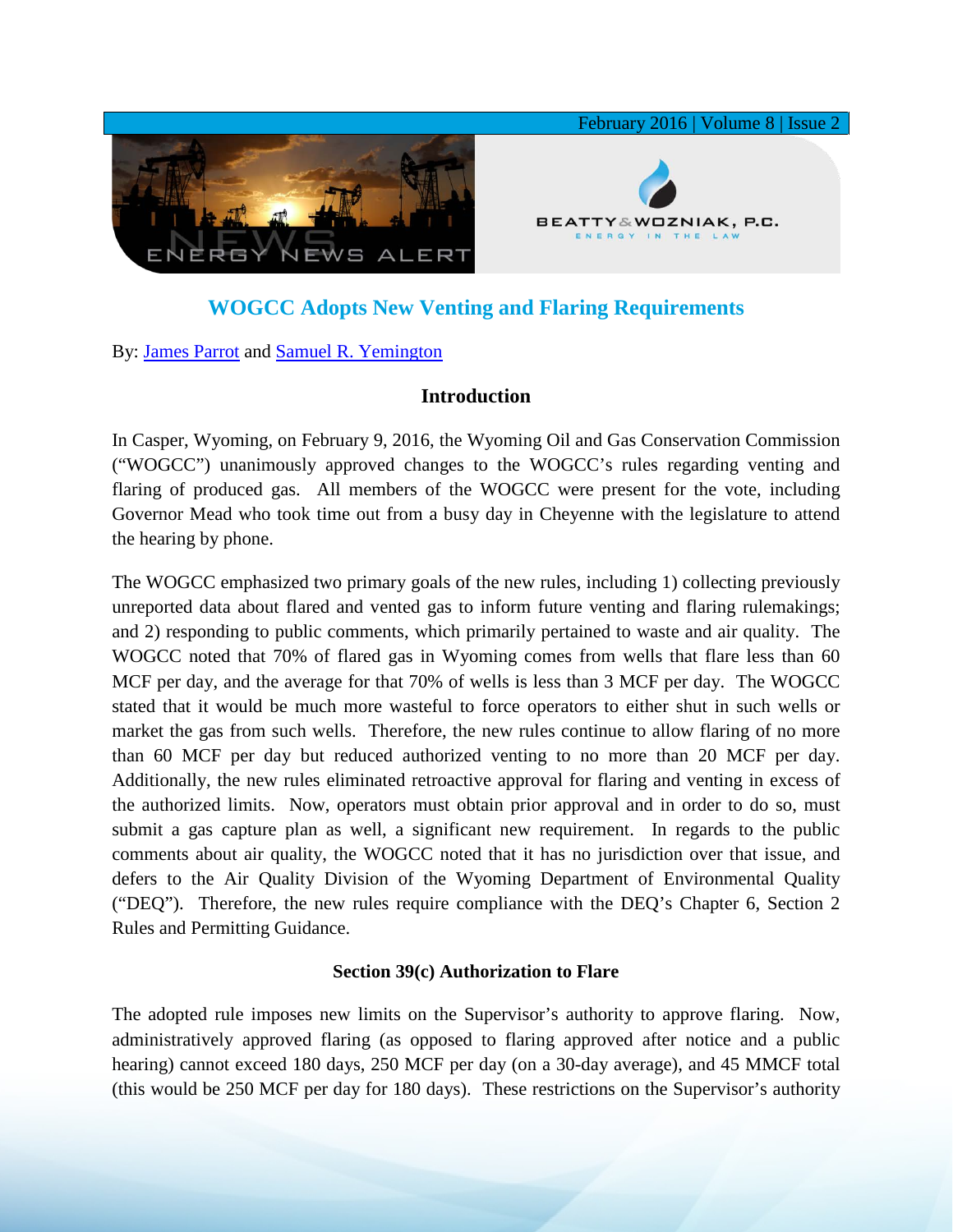

# **WOGCC Adopts New Venting and Flaring Requirements**

By: [James Parrot](http://www.bwenergylaw.com/#!james-parrot/c1106) and [Samuel R. Yemington](http://www.bwenergylaw.com/#!sam-yemington/cla1)

# **Introduction**

In Casper, Wyoming, on February 9, 2016, the Wyoming Oil and Gas Conservation Commission ("WOGCC") unanimously approved changes to the WOGCC's rules regarding venting and flaring of produced gas. All members of the WOGCC were present for the vote, including Governor Mead who took time out from a busy day in Cheyenne with the legislature to attend the hearing by phone.

The WOGCC emphasized two primary goals of the new rules, including 1) collecting previously unreported data about flared and vented gas to inform future venting and flaring rulemakings; and 2) responding to public comments, which primarily pertained to waste and air quality. The WOGCC noted that 70% of flared gas in Wyoming comes from wells that flare less than 60 MCF per day, and the average for that 70% of wells is less than 3 MCF per day. The WOGCC stated that it would be much more wasteful to force operators to either shut in such wells or market the gas from such wells. Therefore, the new rules continue to allow flaring of no more than 60 MCF per day but reduced authorized venting to no more than 20 MCF per day. Additionally, the new rules eliminated retroactive approval for flaring and venting in excess of the authorized limits. Now, operators must obtain prior approval and in order to do so, must submit a gas capture plan as well, a significant new requirement. In regards to the public comments about air quality, the WOGCC noted that it has no jurisdiction over that issue, and defers to the Air Quality Division of the Wyoming Department of Environmental Quality ("DEQ"). Therefore, the new rules require compliance with the DEQ's Chapter 6, Section 2 Rules and Permitting Guidance.

### **Section 39(c) Authorization to Flare**

The adopted rule imposes new limits on the Supervisor's authority to approve flaring. Now, administratively approved flaring (as opposed to flaring approved after notice and a public hearing) cannot exceed 180 days, 250 MCF per day (on a 30-day average), and 45 MMCF total (this would be 250 MCF per day for 180 days). These restrictions on the Supervisor's authority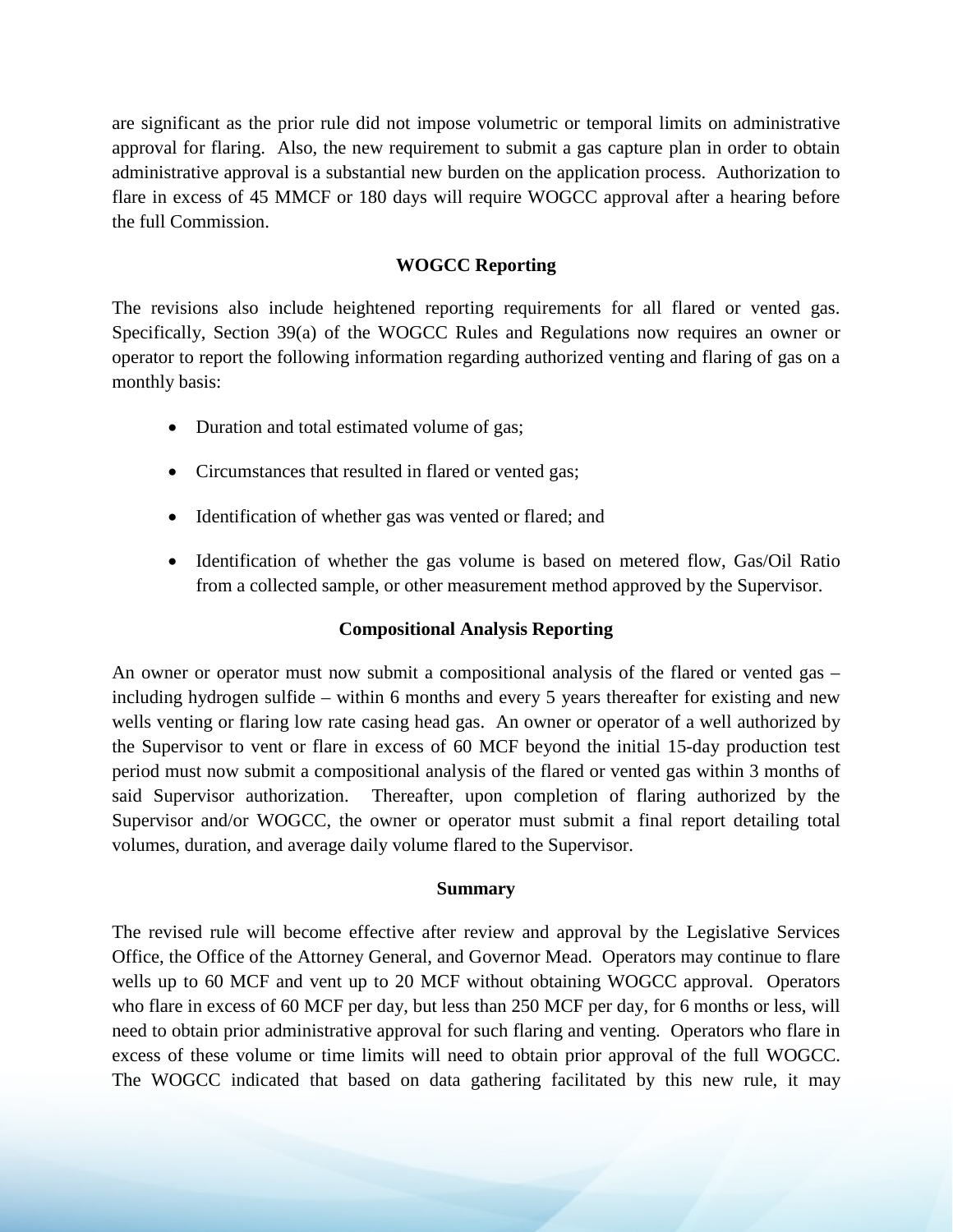are significant as the prior rule did not impose volumetric or temporal limits on administrative approval for flaring. Also, the new requirement to submit a gas capture plan in order to obtain administrative approval is a substantial new burden on the application process. Authorization to flare in excess of 45 MMCF or 180 days will require WOGCC approval after a hearing before the full Commission.

## **WOGCC Reporting**

The revisions also include heightened reporting requirements for all flared or vented gas. Specifically, Section 39(a) of the WOGCC Rules and Regulations now requires an owner or operator to report the following information regarding authorized venting and flaring of gas on a monthly basis:

- Duration and total estimated volume of gas;
- Circumstances that resulted in flared or vented gas;
- Identification of whether gas was vented or flared; and
- Identification of whether the gas volume is based on metered flow, Gas/Oil Ratio from a collected sample, or other measurement method approved by the Supervisor.

# **Compositional Analysis Reporting**

An owner or operator must now submit a compositional analysis of the flared or vented gas – including hydrogen sulfide – within 6 months and every 5 years thereafter for existing and new wells venting or flaring low rate casing head gas. An owner or operator of a well authorized by the Supervisor to vent or flare in excess of 60 MCF beyond the initial 15-day production test period must now submit a compositional analysis of the flared or vented gas within 3 months of said Supervisor authorization. Thereafter, upon completion of flaring authorized by the Supervisor and/or WOGCC, the owner or operator must submit a final report detailing total volumes, duration, and average daily volume flared to the Supervisor.

### **Summary**

The revised rule will become effective after review and approval by the Legislative Services Office, the Office of the Attorney General, and Governor Mead. Operators may continue to flare wells up to 60 MCF and vent up to 20 MCF without obtaining WOGCC approval. Operators who flare in excess of 60 MCF per day, but less than 250 MCF per day, for 6 months or less, will need to obtain prior administrative approval for such flaring and venting. Operators who flare in excess of these volume or time limits will need to obtain prior approval of the full WOGCC. The WOGCC indicated that based on data gathering facilitated by this new rule, it may